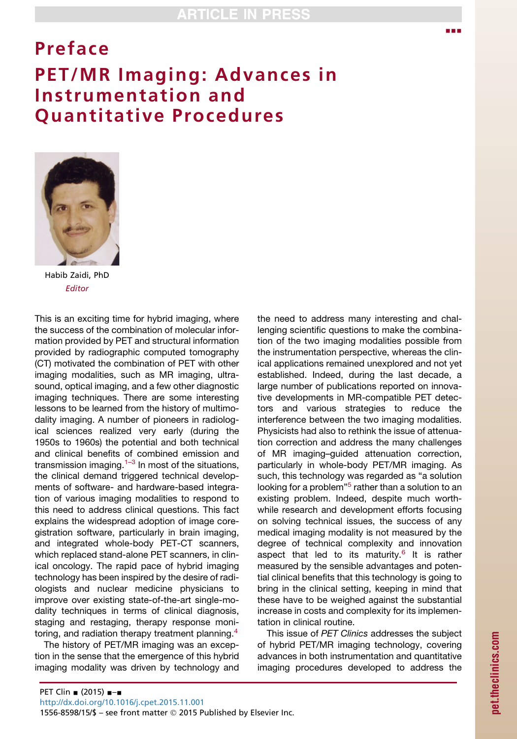## Preface PET/MR Imaging: Advances in Instrumentation and Quantitative Procedures



Habib Zaidi, PhD Editor

This is an exciting time for hybrid imaging, where the success of the combination of molecular information provided by PET and structural information provided by radiographic computed tomography (CT) motivated the combination of PET with other imaging modalities, such as MR imaging, ultrasound, optical imaging, and a few other diagnostic imaging techniques. There are some interesting lessons to be learned from the history of multimodality imaging. A number of pioneers in radiological sciences realized very early (during the 1950s to 1960s) the potential and both technical and clinical benefits of combined emission and transmission imaging.<sup>[1–3](#page-1-0)</sup> In most of the situations, the clinical demand triggered technical developments of software- and hardware-based integration of various imaging modalities to respond to this need to address clinical questions. This fact explains the widespread adoption of image coregistration software, particularly in brain imaging, and integrated whole-body PET-CT scanners, which replaced stand-alone PET scanners, in clinical oncology. The rapid pace of hybrid imaging technology has been inspired by the desire of radiologists and nuclear medicine physicians to improve over existing state-of-the-art single-modality techniques in terms of clinical diagnosis, staging and restaging, therapy response monitoring, and radiation therapy treatment planning.<sup>4</sup>

The history of PET/MR imaging was an exception in the sense that the emergence of this hybrid imaging modality was driven by technology and the need to address many interesting and challenging scientific questions to make the combination of the two imaging modalities possible from the instrumentation perspective, whereas the clinical applications remained unexplored and not yet established. Indeed, during the last decade, a large number of publications reported on innovative developments in MR-compatible PET detectors and various strategies to reduce the interference between the two imaging modalities. Physicists had also to rethink the issue of attenuation correction and address the many challenges of MR imaging–guided attenuation correction, particularly in whole-body PET/MR imaging. As such, this technology was regarded as "a solution looking for a problem"<sup>[5](#page-1-0)</sup> rather than a solution to an existing problem. Indeed, despite much worthwhile research and development efforts focusing on solving technical issues, the success of any medical imaging modality is not measured by the degree of technical complexity and innovation aspect that led to its maturity. $6$  It is rather measured by the sensible advantages and potential clinical benefits that this technology is going to bring in the clinical setting, keeping in mind that these have to be weighed against the substantial increase in costs and complexity for its implementation in clinical routine.

This issue of *PET Clinics* addresses the subject of hybrid PET/MR imaging technology, covering advances in both instrumentation and quantitative imaging procedures developed to address the